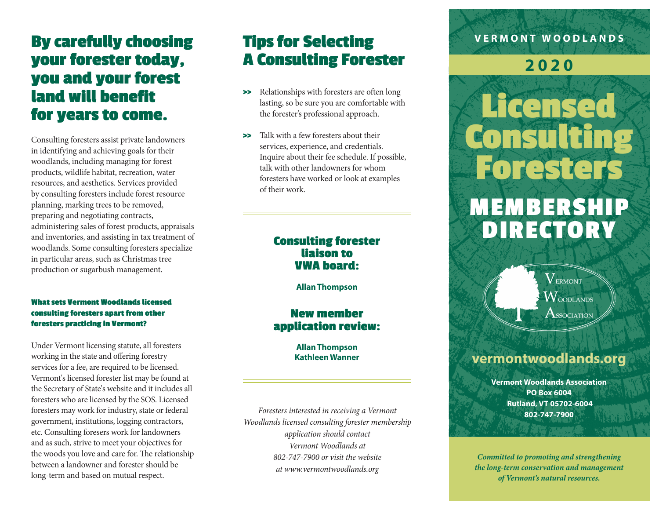# **By carefully choosing your forester today, you and your forest land will benefit for years to come.**

Consulting foresters assist private landowners in identifying and achieving goals for their woodlands, including managing for forest products, wildlife habitat, recreation, water resources, and aesthetics. Services provided by consulting foresters include forest resource planning, marking trees to be removed, preparing and negotiating contracts, administering sales of forest products, appraisals and inventories, and assisting in tax treatment of woodlands. Some consulting foresters specialize in particular areas, such as Christmas tree production or sugarbush management.

#### **What sets Vermont Woodlands licensed consulting foresters apart from other foresters practicing in Vermont?**

Under Vermont licensing statute, all foresters working in the state and offering forestry services for a fee, are required to be licensed. Vermont's licensed forester list may be found at the Secretary of State's website and it includes all foresters who are licensed by the SOS. Licensed foresters may work for industry, state or federal government, institutions, logging contractors, etc. Consulting foresers work for landowners and as such, strive to meet your objectives for the woods you love and care for. The relationship between a landowner and forester should be long-term and based on mutual respect.

# **Tips for Selecting A Consulting Forester**

- **>>** Relationships with foresters are often long lasting, so be sure you are comfortable with the forester's professional approach.
- **>>** Talk with a few foresters about their services, experience, and credentials. Inquire about their fee schedule. If possible, talk with other landowners for whom foresters have worked or look at examples of their work.

### **Consulting forester liaison to VWA board:**

**Allan Thompson**

## **New member application review:**

**Allan Thompson Kathleen Wanner**

*Foresters interested in receiving a Vermont Woodlands licensed consulting forester membership application should contact Vermont Woodlands at 802-747-7900 or visit the website at www.vermontwoodlands.org*

## **VERMONT WOODLANDS**

## **2020**

# **Licensed Consulting Foresters MEMBERSHIP DIRECTORY**



## **vermontwoodlands.org**

**Vermont Woodlands Association PO Box 6004 Rutland, VT 05702-6004 802-747-7900**

*Committed to promoting and strengthening the long-term conservation and management of Vermont's natural resources.*